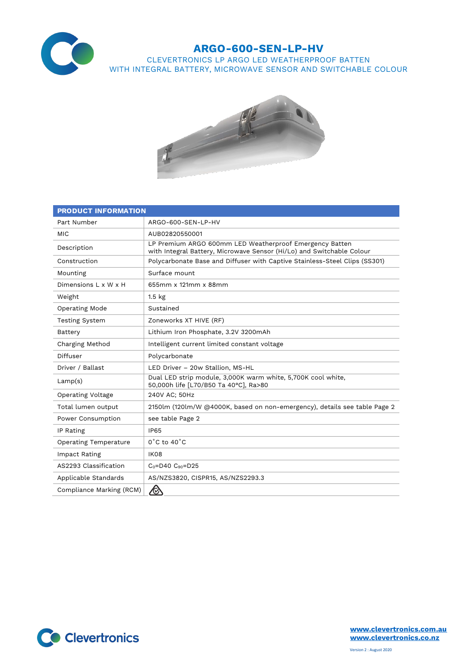

## **ARGO-600-SEN-LP-HV**

CLEVERTRONICS LP ARGO LED WEATHERPROOF BATTEN WITH INTEGRAL BATTERY, MICROWAVE SENSOR AND SWITCHABLE COLOUR



| <b>PRODUCT INFORMATION</b>   |                                                                                                                                  |
|------------------------------|----------------------------------------------------------------------------------------------------------------------------------|
| Part Number                  | ARGO-600-SEN-LP-HV                                                                                                               |
| <b>MIC</b>                   | AUB02820550001                                                                                                                   |
| Description                  | LP Premium ARGO 600mm LED Weatherproof Emergency Batten<br>with Integral Battery, Microwave Sensor (Hi/Lo) and Switchable Colour |
| Construction                 | Polycarbonate Base and Diffuser with Captive Stainless-Steel Clips (SS301)                                                       |
| Mounting                     | Surface mount                                                                                                                    |
| Dimensions L x W x H         | 655mm x 121mm x 88mm                                                                                                             |
| Weight                       | $1.5$ kg                                                                                                                         |
| Operating Mode               | Sustained                                                                                                                        |
| <b>Testing System</b>        | Zoneworks XT HIVE (RF)                                                                                                           |
| Battery                      | Lithium Iron Phosphate, 3.2V 3200mAh                                                                                             |
| Charging Method              | Intelligent current limited constant voltage                                                                                     |
| Diffuser                     | Polycarbonate                                                                                                                    |
| Driver / Ballast             | LED Driver - 20w Stallion, MS-HL                                                                                                 |
| Lamp(s)                      | Dual LED strip module, 3,000K warm white, 5,700K cool white,<br>50,000h life [L70/B50 Ta 40°C], Ra>80                            |
| Operating Voltage            | 240V AC; 50Hz                                                                                                                    |
| Total lumen output           | 2150lm (120lm/W @4000K, based on non-emergency), details see table Page 2                                                        |
| Power Consumption            | see table Page 2                                                                                                                 |
| IP Rating                    | <b>IP65</b>                                                                                                                      |
| <b>Operating Temperature</b> | $0^{\circ}$ C to 40 $^{\circ}$ C                                                                                                 |
| Impact Rating                | <b>IK08</b>                                                                                                                      |
| AS2293 Classification        | $C_0 = D40 C_{90} = D25$                                                                                                         |
| Applicable Standards         | AS/NZS3820, CISPR15, AS/NZS2293.3                                                                                                |
| Compliance Marking (RCM)     | <b>R</b>                                                                                                                         |